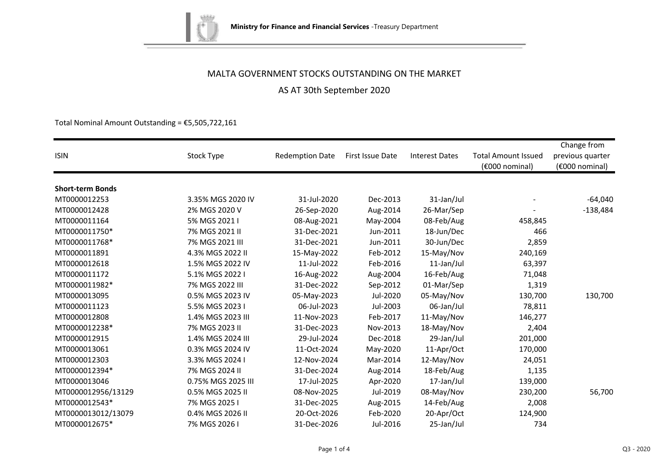

AS AT 30th September 2020

Total Nominal Amount Outstanding =  $£5,505,722,161$ 

|                         |                    |                        |                  |                       |                            | Change from      |
|-------------------------|--------------------|------------------------|------------------|-----------------------|----------------------------|------------------|
| <b>ISIN</b>             | Stock Type         | <b>Redemption Date</b> | First Issue Date | <b>Interest Dates</b> | <b>Total Amount Issued</b> | previous quarter |
|                         |                    |                        |                  |                       | (€000 nominal)             | (€000 nominal)   |
| <b>Short-term Bonds</b> |                    |                        |                  |                       |                            |                  |
| MT0000012253            | 3.35% MGS 2020 IV  | 31-Jul-2020            | Dec-2013         | 31-Jan/Jul            |                            | $-64,040$        |
| MT0000012428            | 2% MGS 2020 V      |                        | Aug-2014         | 26-Mar/Sep            |                            | $-138,484$       |
|                         |                    | 26-Sep-2020            |                  |                       |                            |                  |
| MT0000011164            | 5% MGS 2021 I      | 08-Aug-2021            | May-2004         | 08-Feb/Aug            | 458,845                    |                  |
| MT0000011750*           | 7% MGS 2021 II     | 31-Dec-2021            | Jun-2011         | 18-Jun/Dec            | 466                        |                  |
| MT0000011768*           | 7% MGS 2021 III    | 31-Dec-2021            | Jun-2011         | 30-Jun/Dec            | 2,859                      |                  |
| MT0000011891            | 4.3% MGS 2022 II   | 15-May-2022            | Feb-2012         | 15-May/Nov            | 240,169                    |                  |
| MT0000012618            | 1.5% MGS 2022 IV   | 11-Jul-2022            | Feb-2016         | 11-Jan/Jul            | 63,397                     |                  |
| MT0000011172            | 5.1% MGS 2022 I    | 16-Aug-2022            | Aug-2004         | 16-Feb/Aug            | 71,048                     |                  |
| MT0000011982*           | 7% MGS 2022 III    | 31-Dec-2022            | Sep-2012         | 01-Mar/Sep            | 1,319                      |                  |
| MT0000013095            | 0.5% MGS 2023 IV   | 05-May-2023            | Jul-2020         | 05-May/Nov            | 130,700                    | 130,700          |
| MT0000011123            | 5.5% MGS 2023 I    | 06-Jul-2023            | Jul-2003         | 06-Jan/Jul            | 78,811                     |                  |
| MT0000012808            | 1.4% MGS 2023 III  | 11-Nov-2023            | Feb-2017         | 11-May/Nov            | 146,277                    |                  |
| MT0000012238*           | 7% MGS 2023 II     | 31-Dec-2023            | Nov-2013         | 18-May/Nov            | 2,404                      |                  |
| MT0000012915            | 1.4% MGS 2024 III  | 29-Jul-2024            | Dec-2018         | 29-Jan/Jul            | 201,000                    |                  |
| MT0000013061            | 0.3% MGS 2024 IV   | 11-Oct-2024            | May-2020         | 11-Apr/Oct            | 170,000                    |                  |
| MT0000012303            | 3.3% MGS 2024 I    | 12-Nov-2024            | Mar-2014         | 12-May/Nov            | 24,051                     |                  |
| MT0000012394*           | 7% MGS 2024 II     | 31-Dec-2024            | Aug-2014         | 18-Feb/Aug            | 1,135                      |                  |
| MT0000013046            | 0.75% MGS 2025 III | 17-Jul-2025            | Apr-2020         | 17-Jan/Jul            | 139,000                    |                  |
| MT0000012956/13129      | 0.5% MGS 2025 II   | 08-Nov-2025            | Jul-2019         | 08-May/Nov            | 230,200                    | 56,700           |
| MT0000012543*           | 7% MGS 2025 I      | 31-Dec-2025            | Aug-2015         | 14-Feb/Aug            | 2,008                      |                  |
| MT0000013012/13079      | 0.4% MGS 2026 II   | 20-Oct-2026            | Feb-2020         | 20-Apr/Oct            | 124,900                    |                  |
| MT0000012675*           | 7% MGS 2026 I      | 31-Dec-2026            | Jul-2016         | 25-Jan/Jul            | 734                        |                  |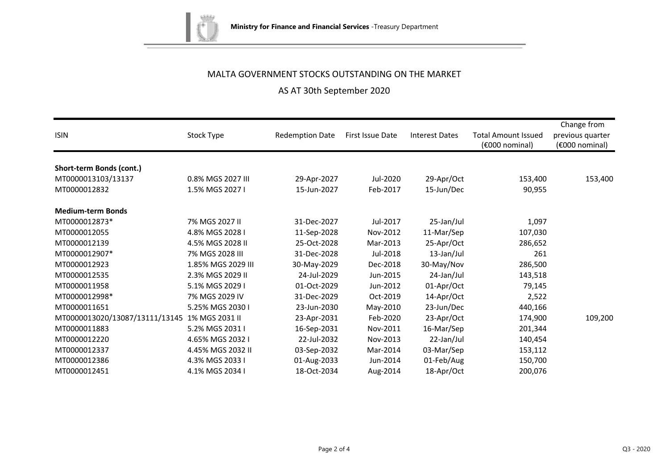

# AS AT 30th September 2020

| <b>ISIN</b>                    | Stock Type         | <b>Redemption Date</b> | First Issue Date | <b>Interest Dates</b> | <b>Total Amount Issued</b><br>(€000 nominal) | Change from<br>previous quarter<br>$(6000)$ nominal) |
|--------------------------------|--------------------|------------------------|------------------|-----------------------|----------------------------------------------|------------------------------------------------------|
| Short-term Bonds (cont.)       |                    |                        |                  |                       |                                              |                                                      |
| MT0000013103/13137             | 0.8% MGS 2027 III  | 29-Apr-2027            | Jul-2020         | 29-Apr/Oct            | 153,400                                      | 153,400                                              |
| MT0000012832                   | 1.5% MGS 2027 I    | 15-Jun-2027            | Feb-2017         | 15-Jun/Dec            | 90,955                                       |                                                      |
| <b>Medium-term Bonds</b>       |                    |                        |                  |                       |                                              |                                                      |
| MT0000012873*                  | 7% MGS 2027 II     | 31-Dec-2027            | Jul-2017         | 25-Jan/Jul            | 1,097                                        |                                                      |
| MT0000012055                   | 4.8% MGS 2028 I    | 11-Sep-2028            | Nov-2012         | 11-Mar/Sep            | 107,030                                      |                                                      |
| MT0000012139                   | 4.5% MGS 2028 II   | 25-Oct-2028            | Mar-2013         | 25-Apr/Oct            | 286,652                                      |                                                      |
| MT0000012907*                  | 7% MGS 2028 III    | 31-Dec-2028            | Jul-2018         | 13-Jan/Jul            | 261                                          |                                                      |
| MT0000012923                   | 1.85% MGS 2029 III | 30-May-2029            | Dec-2018         | 30-May/Nov            | 286,500                                      |                                                      |
| MT0000012535                   | 2.3% MGS 2029 II   | 24-Jul-2029            | Jun-2015         | 24-Jan/Jul            | 143,518                                      |                                                      |
| MT0000011958                   | 5.1% MGS 2029 I    | 01-Oct-2029            | Jun-2012         | 01-Apr/Oct            | 79,145                                       |                                                      |
| MT0000012998*                  | 7% MGS 2029 IV     | 31-Dec-2029            | Oct-2019         | 14-Apr/Oct            | 2,522                                        |                                                      |
| MT0000011651                   | 5.25% MGS 2030 I   | 23-Jun-2030            | May-2010         | 23-Jun/Dec            | 440,166                                      |                                                      |
| MT0000013020/13087/13111/13145 | 1% MGS 2031 II     | 23-Apr-2031            | Feb-2020         | 23-Apr/Oct            | 174,900                                      | 109,200                                              |
| MT0000011883                   | 5.2% MGS 2031 I    | 16-Sep-2031            | Nov-2011         | 16-Mar/Sep            | 201,344                                      |                                                      |
| MT0000012220                   | 4.65% MGS 2032 I   | 22-Jul-2032            | Nov-2013         | 22-Jan/Jul            | 140,454                                      |                                                      |
| MT0000012337                   | 4.45% MGS 2032 II  | 03-Sep-2032            | Mar-2014         | 03-Mar/Sep            | 153,112                                      |                                                      |
| MT0000012386                   | 4.3% MGS 2033 I    | 01-Aug-2033            | Jun-2014         | 01-Feb/Aug            | 150,700                                      |                                                      |
| MT0000012451                   | 4.1% MGS 2034 I    | 18-Oct-2034            | Aug-2014         | 18-Apr/Oct            | 200,076                                      |                                                      |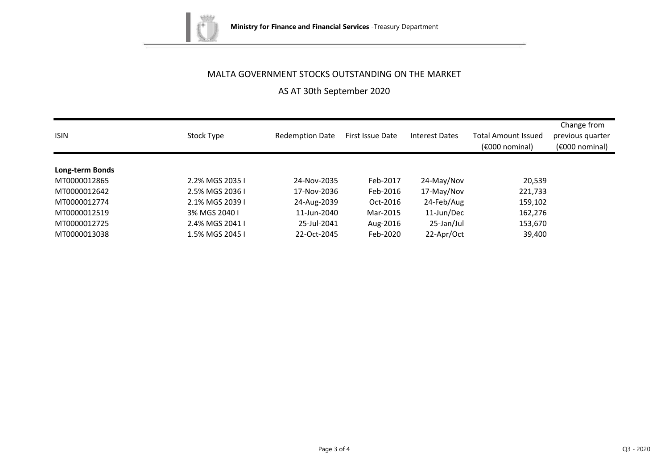

AS AT 30th September 2020

| <b>ISIN</b>     | Stock Type      | <b>Redemption Date</b> | First Issue Date | <b>Interest Dates</b> | <b>Total Amount Issued</b><br>$(6000)$ nominal) | Change from<br>previous quarter<br>$(6000)$ nominal) |
|-----------------|-----------------|------------------------|------------------|-----------------------|-------------------------------------------------|------------------------------------------------------|
| Long-term Bonds |                 |                        |                  |                       |                                                 |                                                      |
| MT0000012865    | 2.2% MGS 2035 I | 24-Nov-2035            | Feb-2017         | 24-May/Nov            | 20,539                                          |                                                      |
| MT0000012642    | 2.5% MGS 2036 L | 17-Nov-2036            | Feb-2016         | 17-May/Nov            | 221,733                                         |                                                      |
| MT0000012774    | 2.1% MGS 2039 I | 24-Aug-2039            | Oct-2016         | 24-Feb/Aug            | 159,102                                         |                                                      |
| MT0000012519    | 3% MGS 2040 L   | 11-Jun-2040            | Mar-2015         | 11-Jun/Dec            | 162,276                                         |                                                      |
| MT0000012725    | 2.4% MGS 2041 I | 25-Jul-2041            | Aug-2016         | 25-Jan/Jul            | 153,670                                         |                                                      |
| MT0000013038    | 1.5% MGS 2045 I | 22-Oct-2045            | Feb-2020         | 22-Apr/Oct            | 39,400                                          |                                                      |